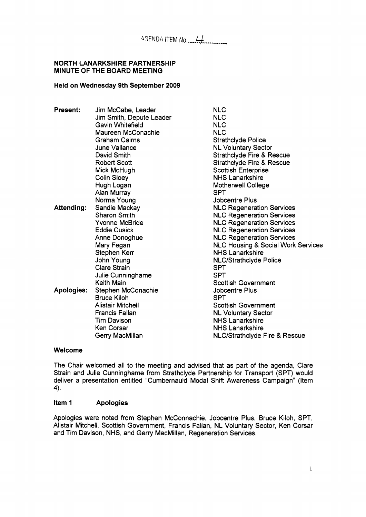#### NORTH LANARKSHIRE PARTNERSHIP MINUTE **OF** THE BOARD MEETING

# Held on Wednesday 9th September 2009

| Present:   | Jim McCabe, Leader       | <b>NLC</b>                           |
|------------|--------------------------|--------------------------------------|
|            | Jim Smith, Depute Leader | <b>NLC</b>                           |
|            | Gavin Whitefield         | <b>NLC</b>                           |
|            | Maureen McConachie       | <b>NLC</b>                           |
|            | <b>Graham Cairns</b>     | <b>Strathclyde Police</b>            |
|            | June Vallance            | <b>NL Voluntary Sector</b>           |
|            | David Smith              | <b>Strathclyde Fire &amp; Rescue</b> |
|            | <b>Robert Scott</b>      | <b>Strathclyde Fire &amp; Rescue</b> |
|            | Mick McHugh              | <b>Scottish Enterprise</b>           |
|            | <b>Colin Sloey</b>       | <b>NHS Lanarkshire</b>               |
|            | Hugh Logan               | <b>Motherwell College</b>            |
|            | Alan Murray              | <b>SPT</b>                           |
|            | Norma Young              | <b>Jobcentre Plus</b>                |
| Attending: | Sandie Mackay            | <b>NLC Regeneration Services</b>     |
|            | <b>Sharon Smith</b>      | <b>NLC Regeneration Services</b>     |
|            | Yvonne McBride           | <b>NLC Regeneration Services</b>     |
|            | <b>Eddie Cusick</b>      | <b>NLC Regeneration Services</b>     |
|            | Anne Donoghue            | <b>NLC Regeneration Services</b>     |
|            | Mary Fegan               | NLC Housing & Social Work Services   |
|            | Stephen Kerr             | <b>NHS Lanarkshire</b>               |
|            | John Young               | <b>NLC/Strathclyde Police</b>        |
|            | <b>Clare Strain</b>      | <b>SPT</b>                           |
|            | Julie Cunninghame        | <b>SPT</b>                           |
|            | Keith Main               | <b>Scottish Government</b>           |
| Apologies: | Stephen McConachie       | Jobcentre Plus                       |
|            | <b>Bruce Kiloh</b>       | <b>SPT</b>                           |
|            | <b>Alistair Mitchell</b> | <b>Scottish Government</b>           |
|            | <b>Francis Fallan</b>    | <b>NL Voluntary Sector</b>           |
|            | Tim Davison              | <b>NHS Lanarkshire</b>               |
|            | Ken Corsar               | NHS Lanarkshire                      |
|            | Gerry MacMillan          | NLC/Strathclyde Fire & Rescue        |

## Welcome

The Chair welcomed all to the meeting and advised that as part of the agenda, Clare Strain and Julie Cunninghame from Strathclyde Partnership for Transport (SPT) would deliver a presentation entitled "Cumbernauld Modal Shift Awareness Campaign" (Item **4).** 

## Item **1** Apologies

Apologies were noted from Stephen McConnachie, Jobcentre Plus, Bruce Kiloh, SPT, Alistair Mitchell, Scottish Government, Francis Fallan, NL Voluntary Sector, Ken Corsar and Tim Davison, NHS, and Gerry MacMillan, Regeneration Services.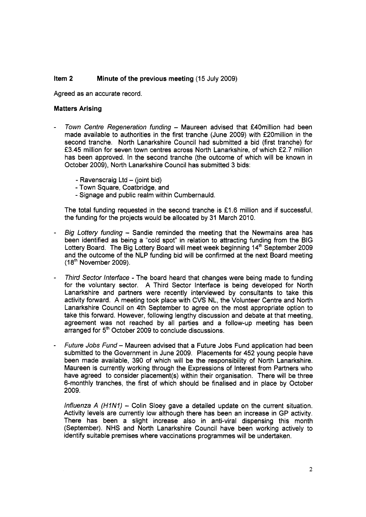#### Item **2**  Minute **of** the previous meeting (15 July 2009)

Agreed as an accurate record.

## Matters Arising

- *Town Centre Regeneration funding Maureen advised that £40million had been* made available to authorities in the first tranche (June 2009) with £20million in the second tranche. North Lanarkshire Council had submitted a bid (first tranche) for f3.45 million for seven town centres across North Lanarkshire, of which f2.7 million has been approved. In the second tranche (the outcome of which will be known in October 2009), North Lanarkshire Council has submitted 3 bids:
	- Ravenscraig  $Ltd (joint bid)$
	- Town Square, Coatbridge, and
	- Signage and public realm within Cumbernauld.

The total funding requested in the second tranche is  $£1.6$  million and if successful, the funding for the projects would be allocated by 31 March 2010.

- *Big Loffery funding*  Sandie reminded the meeting that the Newmains area has been identified as being a "cold spot" in relation to attracting funding from the BIG Lottery Board. The Big Lottery Board will meet week beginning 14'h September 2009 and the outcome of the NLP funding bid will be confirmed at the next Board meeting (1 **8'h** November 2009).
- *Third Sector lnterface*  The board heard that changes were being made to funding for the voluntary sector. **A** Third Sector Interface is being developed for North Lanarkshire and partners were recently interviewed by consultants to take this activity forward. A meeting took place with CVS NL, the Volunteer Centre and North Lanarkshire Council on 4th September to agree on the most appropriate option to take this forward. However, following lengthy discussion and debate at that meeting, agreement was not reached by all parties and a follow-up meeting has been arranged for 5<sup>th</sup> October 2009 to conclude discussions.
- *Future Jobs Fund*  Maureen advised that a Future Jobs Fund application had been submitted to the Government in June 2009. Placements for 452 young people have been made available, 390 of which will be the responsibility of North Lanarkshire. Maureen is currently working through the Expressions of Interest from Partners who have agreed to consider placement(s) within their organisation. There will be three 6-monthly tranches, the first of which should be finalised and in place by October 2009.

*Influenza A (H1N1) –* Colin Sloey gave a detailed update on the current situation. Activity levels are currently low although there has been an increase in GP activity. There has been a slight increase also in anti-viral dispensing this month (September). NHS and North Lanarkshire Council have been working actively to identify suitable premises where vaccinations programmes will be undertaken.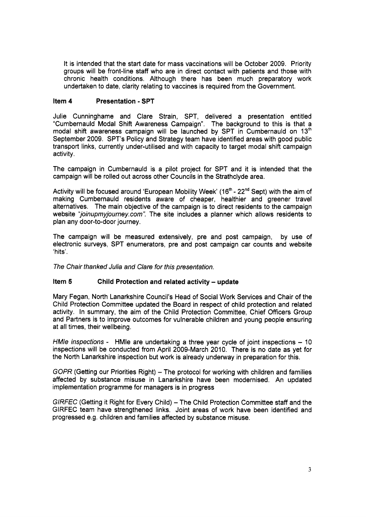It is intended that the start date for mass vaccinations will be October 2009. Priority groups will be front-line staff who are in direct contact with patients and those with chronic health conditions. Although there has been much preparatory work undertaken to date, clarity relating to vaccines is required from the Government.

# **Item 4 Presentation** - **SPT**

Julie Cunninghame and Clare Strain, SPT, delivered a presentation entitled "Cumbernauld Modal Shift Awareness Campaign". The background to this is that a modal shift awareness campaign will be launched by SPT in Cumbernauld on 13'h September 2009. SPT's Policy and Strategy team have identified areas with good public transport links, currently under-utilised and with capacity to target modal shift campaign activity.

The campaign in Cumbernauld is a pilot project for SPT and it is intended that the campaign will be rolled out across other Councils in the Strathclyde area.

Activity will be focused around 'European Mobility Week' ( $16<sup>th</sup>$  -  $22<sup>nd</sup>$  Sept) with the aim of making Cumbernauld residents aware of cheaper, healthier and greener travel alternatives. The main objective of the campaign is to direct residents to the campaign website "joinupmyjourney.com". The site includes a planner which allows residents to plan any door-to-door journey.

The campaign will be measured extensively, pre and post campaign, by use of electronic surveys, SPT enumerators, pre and post campaign car counts and website *<sup>I</sup>*hits'.

*The Chair thanked Julia and Clare for this presentation.* 

# **Item 5** Child Protection and related activity – update

Mary Fegan, North Lanarkshire Council's Head of Social Work Services and Chair of the Child Protection Committee updated the Board in respect of child protection and related activity. In summary, the aim of the Child Protection Committee, Chief Officers Group and Partners is to improve outcomes for vulnerable children and young people ensuring at all times, their wellbeing.

*HMIe inspections -* HMIe are undertaking a three year cycle of joint inspections – 10 inspections will be conducted from April 2009-March 2010. There is no date as yet for the North Lanarkshire inspection but work is already underway in preparation for this.

*GOPR* (Getting our Priorities Right) – The protocol for working with children and families affected by substance misuse in Lanarkshire have been modernised. An updated implementation programme for managers is in progress

*GIRFEC* (Getting it Right for Every Child) - The Child Protection Committee staff and the GIRFEC team have strengthened links. Joint areas of work have been identified and progressed e.g. children and families affected by substance misuse.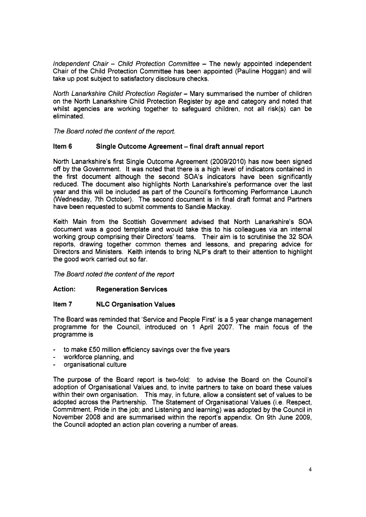*Independent Chair - Child Protection Committee - The newly appointed independent* Chair of the Child Protection Committee has been appointed (Pauline Hoggan) and will take up post subject to satisfactory disclosure checks.

*North Lanarkshire Child Protection Register* - Mary summarised the number of children on the North Lanarkshire Child Protection Register by age and category and noted that whilst agencies are working together to safeguard children, not all risk(s) can be eliminated.

*The Board noted the content of the report.* 

# **Item 6 Single Outcome Agreement** - **final draft annual report**

North Lanarkshire's first Single Outcome Agreement (2009/2010) has now been signed off by the Government. It was noted that there is a high level of indicators contained in the first document although the second SOA's indicators have been significantly reduced. The document also highlights North Lanarkshire's performance over the last year and this will be included as part of the Council's forthcoming Performance Launch (Wednesday, 7th October). The second document is in final draft format and Partners have been requested to submit comments to Sandie Mackay.

Keith Main from the Scottish Government advised that North Lanarkshire's SOA document was a good template and would take this to his colleagues via an internal working group comprising their Directors' teams. Their aim is to scrutinise the 32 **SOA**  reports, drawing together common themes and lessons, and preparing advice for Directors and Ministers. Keith intends to bring NLP's draft to their attention to highlight the good work carried out so far.

*The Board noted the content of the report* 

## **Action** : **Regeneration Services**

## **Item 7 NLC Organisation Values**

The Board was reminded that 'Service and People First' is a 5 year change management programme for the Council, introduced on 1 April 2007. The main focus of the programme is

- to make **f50** million efficiency savings over the five years
- workforce planning, and
- organisational culture

The purpose of the Board report is two-fold: to advise the Board on the Council's adoption of Organisational Values and, to invite partners to take on board these values within their own organisation. This may, in future, allow a consistent set of values to be adopted across the Partnership. The Statement of Organisational Values (i.e. Respect, Commitment, Pride in the job; and Listening and learning) was adopted by the Council in November 2008 and are summarised within the report's appendix. On 9th June 2009, the Council adopted an action plan covering a number of areas.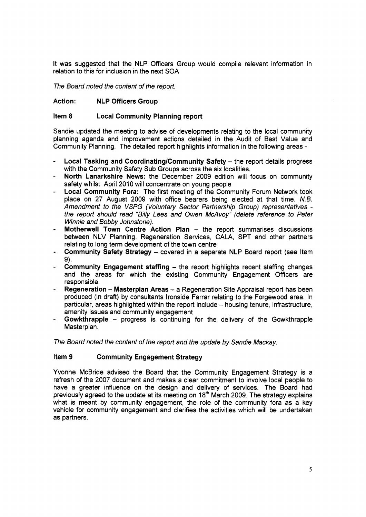It was suggested that the NLP Officers Group would compile relevant information in relation to this for inclusion in the next SOA

*The Board noted the content of the report.* 

# **Action: NLP Officers Group**

## **Item 8 Local Community Planning report**

Sandie updated the meeting to advise of developments relating to the local community planning agenda and improvement actions detailed in the Audit of Best Value and Community Planning. The detailed report highlights information in the following areas -

- **Local Tasking and Coordinating/Community Safety the report details progress** with the Community Safety Sub Groups across the six localities.
- **North Lanarkshire News:** the December 2009 edition will focus on community safety whilst April 2010 will concentrate on young people
- **Local Community Fora:** The first meeting of the Community Forum Network took place on 27 August 2009 with office bearers being elected at that time. *N.B. Amendment to the VSPG (Voluntary Sector Partnership Group) representatives the report should read "Bi//y Lees and Owen McAvoy" (delete reference to Peter Winnie and Bobby Johnstone).*
- **Motherwell Town Centre Action Plan the report summarises discussions** between NLV Planning, Regeneration Services, CALA, SPT and other partners relating to long term development of the town centre
- **Community Safety Strategy covered in a separate NLP Board report (see Item 9).**
- **Community Engagement staffing the report highlights recent staffing changes** and the areas for which the existing Community Engagement Officers are responsible.
- **Regeneration Masterplan Areas**  a Regeneration Site Appraisal report has been produced (in draft) by consultants lronside Farrar relating to the Forgewood area. In particular, areas highlighted within the report include - housing tenure, infrastructure, amenity issues and community engagement
- **Gowkthrapple**  progress is continuing for the delivery of the Gowkthrapple Masterplan.

*The Board noted the content of the report and the update by Sandie Mackay.* 

# **Item 9 Community Engagement Strategy**

Yvonne McBride advised the Board that the Community Engagement Strategy is a refresh of the 2007 document and makes a clear commitment to involve local people to have a greater influence on the design and delivery of services. The Board had previously agreed to the update at its meeting on 18<sup>th</sup> March 2009. The strategy explains what is meant by community engagement, the role of the community fora as a key vehicle for community engagement and clarifies the activities which will be undertaken as partners.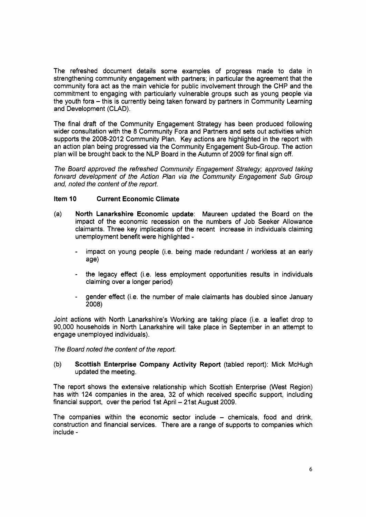The refreshed document details some examples of progress made to date in strengthening community engagement with partners; in particular the agreement that the community fora act as the main vehicle for public involvement through the CHP and the commitment to engaging with particularly vulnerable groups such as young people via the youth fora - this is currently being taken forward by partners in Community Learning and Development (CLAD).

The final draft of the Community Engagement Strategy has been produced following wider consultation with the 8 Community Fora and Partners and sets out activities which supports the 2008-2012 Community Plan. Key actions are highlighted in the report with an action plan being progressed via the Community Engagement Sub-Group. The action plan will be brought back to the NLP Board in the Autumn of 2009 for final sign off.

*The Board approved the refreshed Community Engagement Strategy; approved taking forward development of the Action Plan via the Community Engagement Sub Group and, noted the content of the report.* 

# **Item 10 Current Economic Climate**

- (a) **North Lanarkshire Economic update:** Maureen updated the Board on the impact of the economic recession on the numbers of Job Seeker Allowance claimants. Three key implications of the recent increase in individuals claiming unemployment benefit were highlighted
	- impact on young people (i.e. being made redundant / workless at an early age)
	- the legacy effect (i.e. less employment opportunities results in individuals claiming over a longer period)
	- gender effect (i.e. the number of male claimants has doubled since January 2008)

Joint actions with North Lanarkshire's Working are taking place (i.e. a leaflet drop to 90,000 households in North Lanarkshire will take place in September in an attempt to engage unemployed individuals).

*The Board noted the content of the report.* 

(b) **Scottish Enterprise Company Activity Report** (tabled report): Mick McHugh updated the meeting.

The report shows the extensive relationship which Scottish Enterprise (West Region) has with 124 companies in the area, 32 of which received specific support, including financial support, over the period 1st April - 21st August 2009.

The companies within the economic sector include  $-$  chemicals, food and drink, construction and financial services. There are a range of supports to companies which include -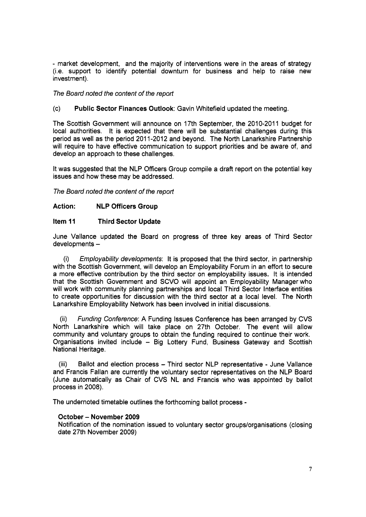- market development, and the majority of interventions were in the areas of strategy (i.e. support to identify potential downturn for business and help to raise new investment).

## *The Board noted the content of the report*

## (c) **Public Sector Finances Outlook:** Gavin Whitefield updated the meeting.

The Scottish Government will announce on 17th September, the 2010-2011 budget for local authorities. It is expected that there will be substantial challenges during this period as well as the period 2011-2012 and beyond. The North Lanarkshire Partnership will require to have effective communication to support priorities and be aware of, and develop an approach to these challenges.

It was suggested that the NLP Officers Group compile a draft report on the potential key issues and how these may be addressed.

*The Board noted the content of the reporf* 

# **Act ion** : **NLP Officers Group**

## **Item 11 Third Sector Update**

June Valance updated the Board on progress of three key areas of Third Sector developments -

(i) *Employability developments:* It is proposed that the third sector, in partnership with the Scottish Government, will develop an Employability Forum in an effort to secure a more effective contribution by the third sector on employability issues. It is intended that the Scottish Government and SCVO will appoint an Employability Manager who will work with community planning partnerships and local Third Sector Interface entities to create opportunities for discussion with the third sector at a local level. The North Lanarkshire Employability Network has been involved in initial discussions.

(ii) *Funding Conference:* **A** Funding Issues Conference has been arranged by CVS North Lanarkshire which will take place on 27th October. The event will allow community and voluntary groups to obtain the funding required to continue their work. Organisations invited include - Big Lottery Fund, Business Gateway and Scottish National Heritage.

(iii) Ballot and election process - Third sector NLP representative - June Vallance and Francis Fallan are currently the voluntary sector representatives on the NLP Board (June automatically as Chair of CVS NL and Francis who was appointed by ballot process in 2008).

The undernoted timetable outlines the forthcoming ballot process -

## **October** - **November 2009**

Notification of the nomination issued to voluntary sector groups/organisations (closing date 27th November 2009)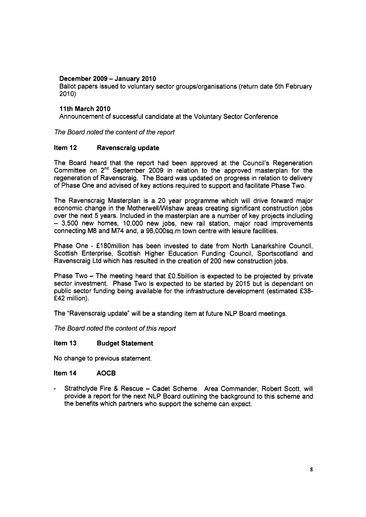# **December 2009** - **Januarv 2010**

Ballot papers issued to voluntary sector groups/organisations (return date 5th February  $2010$ 

# **11th March 2010**

Announcement of successful candidate at the Voluntary Sector Conference

*The Board noted the content of the report* 

# **Item 12 Ravenscraig update**

The Board heard that the report had been approved at the Council's Regeneration Committee on 2nd September 2009 in relation to the approved masterplan for the regeneration of Ravenscraig. The Board was updated on progress in relation to delivery of Phase One and advised of key actions required to support and facilitate Phase Two.

The Ravenscraig Masterplan is a 20 year programme which will drive forward major economic change in the MotherwellNVishaw areas creating significant construction jobs over the next 5 years. Included in the masterplan are a number of key projects including - 3,500 new homes, 10,000 new jobs, new rail station, major road improvements connecting M8 and M74 and, a 96,000sq.m town centre with leisure facilities.

Phase One - £180million has been invested to date from North Lanarkshire Council, Scottish Enterprise, Scottish Higher Education Funding Council, Sportscotland and Ravenscraig Ltd which has resulted in the creation of 200 new construction jobs.

Phase Two  $-$  The meeting heard that £0.5billion is expected to be projected by private sector investment. Phase Two is expected to be started by 2015 but is dependant on public sector funding being available for the infrastructure development (estimated £38-£42 million).

The "Ravenscraig update" will be a standing item at future NLP Board meetings.

*The Board noted the content of this report* 

## **Item 13 Budget Statement**

No change to previous statement.

# **Item 14 AOCB**

Strathclyde Fire & Rescue - Cadet Scheme. Area Commander, Robert Scott, will provide a report for the next NLP Board outlining the background to this scheme and the benefits which partners who support the scheme can expect.